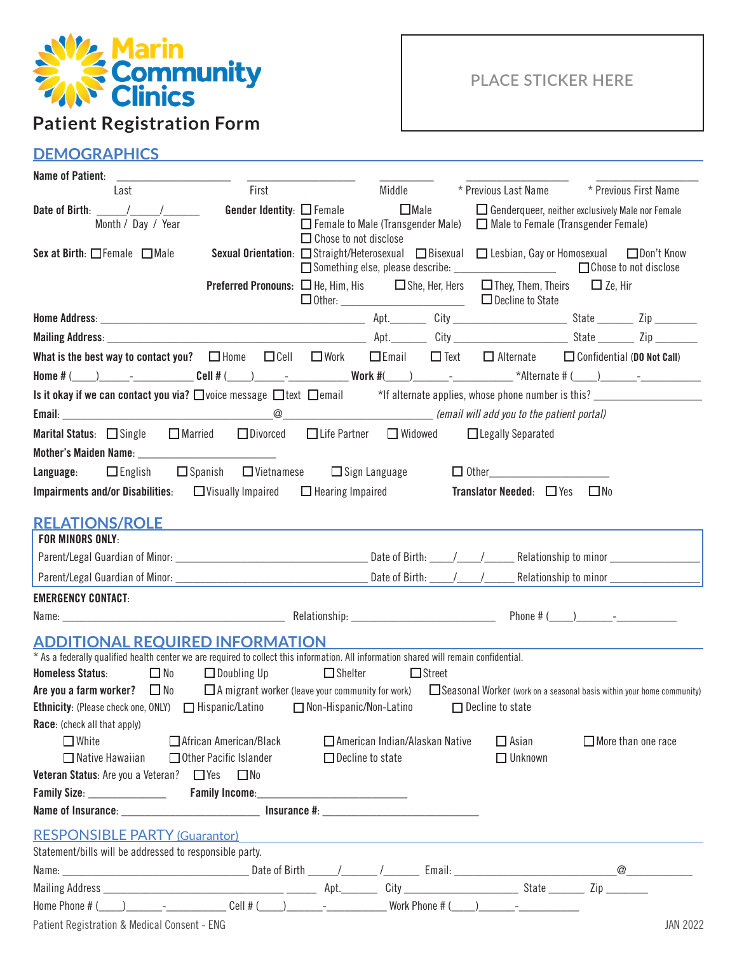

# **Patient Registration Form**

## **PLACE STICKER HERE**

# **DEMOGRAPHICS**

| Name of Patient:                                                                                                                                                                                                                    |                          |                                                                       |                                  |               |                                                                                                               |                                                                                                                                      |
|-------------------------------------------------------------------------------------------------------------------------------------------------------------------------------------------------------------------------------------|--------------------------|-----------------------------------------------------------------------|----------------------------------|---------------|---------------------------------------------------------------------------------------------------------------|--------------------------------------------------------------------------------------------------------------------------------------|
| Last                                                                                                                                                                                                                                | First                    |                                                                       | Middle                           |               | * Previous Last Name                                                                                          | * Previous First Name                                                                                                                |
| Date of Birth: $\frac{1}{2}$ / $\frac{1}{2}$ / $\frac{1}{2}$<br>Month / Day / Year                                                                                                                                                  |                          | <b>Gender Identity:</b> $\Box$ Female<br>$\Box$ Chose to not disclose | $\Box$ Male                      |               | $\Box$ Female to Male (Transgender Male) $\Box$ Male to Female (Transgender Female)                           | $\Box$ Genderqueer, neither exclusively Male nor Female                                                                              |
| Sex at Birth: $\Box$ Female $\Box$ Male                                                                                                                                                                                             |                          |                                                                       |                                  |               | Something else, please describe: _____________________                                                        | Sexual Orientation: □Straight/Heterosexual □Bisexual □ Lesbian, Gay or Homosexual □Don't Know<br>□ Chose to not disclose             |
|                                                                                                                                                                                                                                     |                          |                                                                       |                                  |               | <b>Preferred Pronouns:</b> $\Box$ He, Him, His $\Box$ She, Her, Hers $\Box$ They, Them, Theirs $\Box$ Ze, Hir |                                                                                                                                      |
|                                                                                                                                                                                                                                     |                          |                                                                       |                                  |               |                                                                                                               |                                                                                                                                      |
|                                                                                                                                                                                                                                     |                          |                                                                       |                                  |               |                                                                                                               |                                                                                                                                      |
| What is the best way to contact you? $\Box$ Home $\Box$ Cell $\Box$ Work $\Box$ Email $\Box$ Text $\Box$ Alternate $\Box$ Confidential (DO Not Call)                                                                                |                          |                                                                       |                                  |               |                                                                                                               |                                                                                                                                      |
|                                                                                                                                                                                                                                     |                          |                                                                       |                                  |               |                                                                                                               |                                                                                                                                      |
| Is it okay if we can contact you via? $\square$ voice message $\square$ text $\square$ email $\longrightarrow$ *If alternate applies, whose phone number is this? $\square$                                                         |                          |                                                                       |                                  |               |                                                                                                               |                                                                                                                                      |
|                                                                                                                                                                                                                                     |                          |                                                                       |                                  |               |                                                                                                               |                                                                                                                                      |
| Marital Status: □ Single □ Married □ Divorced                                                                                                                                                                                       |                          | □ Life Partner □ Widowed                                              |                                  |               | □ Legally Separated                                                                                           |                                                                                                                                      |
| <b>Language:</b> $\Box$ English $\Box$ Spanish $\Box$ Vietnamese $\Box$ Sign Language                                                                                                                                               |                          |                                                                       |                                  |               |                                                                                                               |                                                                                                                                      |
| <b>Impairments and/or Disabilities</b> : $\Box$ Visually Impaired $\Box$ Hearing Impaired                                                                                                                                           |                          |                                                                       |                                  |               | <b>Translator Needed:</b> $\Box$ Yes $\Box$ No                                                                |                                                                                                                                      |
| <b>RELATIONS/ROLE</b>                                                                                                                                                                                                               |                          |                                                                       |                                  |               |                                                                                                               |                                                                                                                                      |
| <b>FOR MINORS ONLY:</b>                                                                                                                                                                                                             |                          |                                                                       |                                  |               |                                                                                                               |                                                                                                                                      |
|                                                                                                                                                                                                                                     |                          |                                                                       |                                  |               |                                                                                                               |                                                                                                                                      |
|                                                                                                                                                                                                                                     |                          |                                                                       |                                  |               |                                                                                                               |                                                                                                                                      |
| <b>EMERGENCY CONTACT:</b>                                                                                                                                                                                                           |                          |                                                                       |                                  |               |                                                                                                               |                                                                                                                                      |
|                                                                                                                                                                                                                                     |                          |                                                                       |                                  |               |                                                                                                               |                                                                                                                                      |
| <b>ADDITIONAL REQUIRED INFORMATION</b><br>* As a federally qualified health center we are required to collect this information. All information shared will remain confidential.                                                    |                          |                                                                       |                                  |               |                                                                                                               |                                                                                                                                      |
| $\Box$ No<br><b>Homeless Status:</b>                                                                                                                                                                                                | $\Box$ Doubling Up       | $\Box$ Shelter                                                        |                                  | $\Box$ Street |                                                                                                               |                                                                                                                                      |
| Are you a farm worker? $\Box$ No                                                                                                                                                                                                    |                          |                                                                       |                                  |               |                                                                                                               | $\Box$ A migrant worker (leave your community for work) $\Box$ Seasonal Worker (work on a seasonal basis within your home community) |
| <b>Ethnicity</b> : (Please check one, ONLY) $\Box$ Hispanic/Latino $\Box$ Non-Hispanic/Non-Latino $\Box$ Decline to state                                                                                                           |                          |                                                                       |                                  |               |                                                                                                               |                                                                                                                                      |
| <b>Race:</b> (check all that apply)                                                                                                                                                                                                 |                          |                                                                       |                                  |               |                                                                                                               |                                                                                                                                      |
| $\Box$ White                                                                                                                                                                                                                        | □ African American/Black |                                                                       | □ American Indian/Alaskan Native |               | $\square$ Asian                                                                                               | $\Box$ More than one race                                                                                                            |
| $\Box$ Native Hawaiian                                                                                                                                                                                                              | □ Other Pacific Islander | $\Box$ Decline to state                                               |                                  |               | $\Box$ Unknown                                                                                                |                                                                                                                                      |
| <b>Veteran Status:</b> Are you a Veteran? □ Yes □ No                                                                                                                                                                                |                          |                                                                       |                                  |               |                                                                                                               |                                                                                                                                      |
|                                                                                                                                                                                                                                     |                          |                                                                       |                                  |               |                                                                                                               |                                                                                                                                      |
|                                                                                                                                                                                                                                     |                          |                                                                       |                                  |               |                                                                                                               |                                                                                                                                      |
| <b>RESPONSIBLE PARTY (Guarantor)</b> And The Contract of the Contract of the Contract of the Contract of the Contract of the Contract of the Contract of the Contract of the Contract of the Contract of the Contract of the Contra |                          |                                                                       |                                  |               |                                                                                                               |                                                                                                                                      |
| Statement/bills will be addressed to responsible party.                                                                                                                                                                             |                          |                                                                       |                                  |               |                                                                                                               |                                                                                                                                      |
|                                                                                                                                                                                                                                     |                          |                                                                       |                                  |               |                                                                                                               |                                                                                                                                      |
|                                                                                                                                                                                                                                     |                          |                                                                       |                                  |               |                                                                                                               |                                                                                                                                      |
| Home Phone # $($ $)$ $)$ $  ($ $)$ $($ $)$ $($ $)$ $  ($ $)$ $($ $)$ $($ $)$ $($ $)$ $   ($ $)$ $   ($ $)$ $   ($ $)$ $   ($ $)$ $  ($ $)$ $  ($ $)$ $  ($                                                                          |                          |                                                                       |                                  |               |                                                                                                               |                                                                                                                                      |
| Patient Registration & Medical Consent - ENG                                                                                                                                                                                        |                          |                                                                       |                                  |               |                                                                                                               | <b>JAN 2022</b>                                                                                                                      |